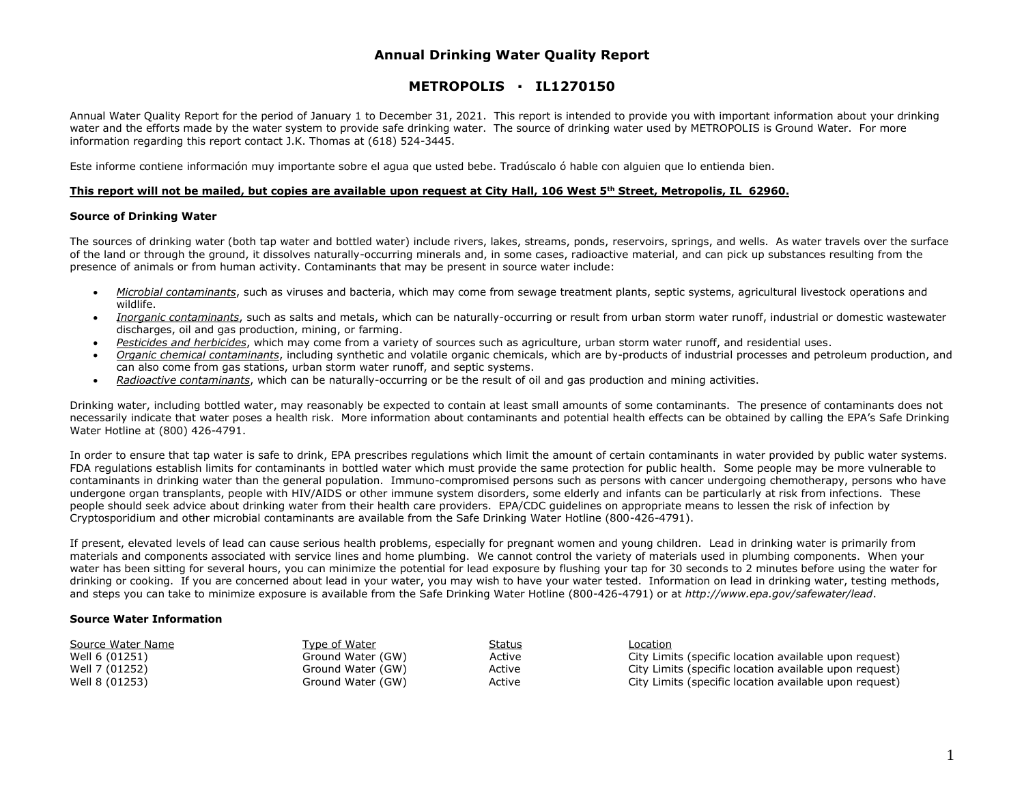# **Annual Drinking Water Quality Report**

# **METROPOLIS ▪ IL1270150**

Annual Water Quality Report for the period of January 1 to December 31, 2021. This report is intended to provide you with important information about your drinking water and the efforts made by the water system to provide safe drinking water. The source of drinking water used by METROPOLIS is Ground Water. For more information regarding this report contact J.K. Thomas at (618) 524-3445.

Este informe contiene información muy importante sobre el agua que usted bebe. Tradúscalo ó hable con alguien que lo entienda bien.

### **This report will not be mailed, but copies are available upon request at City Hall, 106 West 5th Street, Metropolis, IL 62960.**

### **Source of Drinking Water**

The sources of drinking water (both tap water and bottled water) include rivers, lakes, streams, ponds, reservoirs, springs, and wells. As water travels over the surface of the land or through the ground, it dissolves naturally-occurring minerals and, in some cases, radioactive material, and can pick up substances resulting from the presence of animals or from human activity. Contaminants that may be present in source water include:

- *Microbial contaminants*, such as viruses and bacteria, which may come from sewage treatment plants, septic systems, agricultural livestock operations and wildlife.
- *Inorganic contaminants*, such as salts and metals, which can be naturally-occurring or result from urban storm water runoff, industrial or domestic wastewater discharges, oil and gas production, mining, or farming.
- *Pesticides and herbicides*, which may come from a variety of sources such as agriculture, urban storm water runoff, and residential uses.
- *Organic chemical contaminants*, including synthetic and volatile organic chemicals, which are by-products of industrial processes and petroleum production, and can also come from gas stations, urban storm water runoff, and septic systems.
- *Radioactive contaminants*, which can be naturally-occurring or be the result of oil and gas production and mining activities.

Drinking water, including bottled water, may reasonably be expected to contain at least small amounts of some contaminants. The presence of contaminants does not necessarily indicate that water poses a health risk. More information about contaminants and potential health effects can be obtained by calling the EPA's Safe Drinking Water Hotline at (800) 426-4791.

In order to ensure that tap water is safe to drink, EPA prescribes regulations which limit the amount of certain contaminants in water provided by public water systems. FDA regulations establish limits for contaminants in bottled water which must provide the same protection for public health. Some people may be more vulnerable to contaminants in drinking water than the general population. Immuno-compromised persons such as persons with cancer undergoing chemotherapy, persons who have undergone organ transplants, people with HIV/AIDS or other immune system disorders, some elderly and infants can be particularly at risk from infections. These people should seek advice about drinking water from their health care providers. EPA/CDC guidelines on appropriate means to lessen the risk of infection by Cryptosporidium and other microbial contaminants are available from the Safe Drinking Water Hotline (800-426-4791).

If present, elevated levels of lead can cause serious health problems, especially for pregnant women and young children. Lead in drinking water is primarily from materials and components associated with service lines and home plumbing. We cannot control the variety of materials used in plumbing components. When your water has been sitting for several hours, you can minimize the potential for lead exposure by flushing your tap for 30 seconds to 2 minutes before using the water for drinking or cooking. If you are concerned about lead in your water, you may wish to have your water tested. Information on lead in drinking water, testing methods, and steps you can take to minimize exposure is available from the Safe Drinking Water Hotline (800-426-4791) or at *http://www.epa.gov/safewater/lead*.

### **Source Water Information**

| Source Water Name | Type of Water     | <u>Status</u> | Location                                               |
|-------------------|-------------------|---------------|--------------------------------------------------------|
| Well 6 (01251)    | Ground Water (GW) | Active        | City Limits (specific location available upon request) |
| Well 7 (01252)    | Ground Water (GW) | Active        | City Limits (specific location available upon request) |
| Well 8 (01253)    | Ground Water (GW) | Active        | City Limits (specific location available upon request) |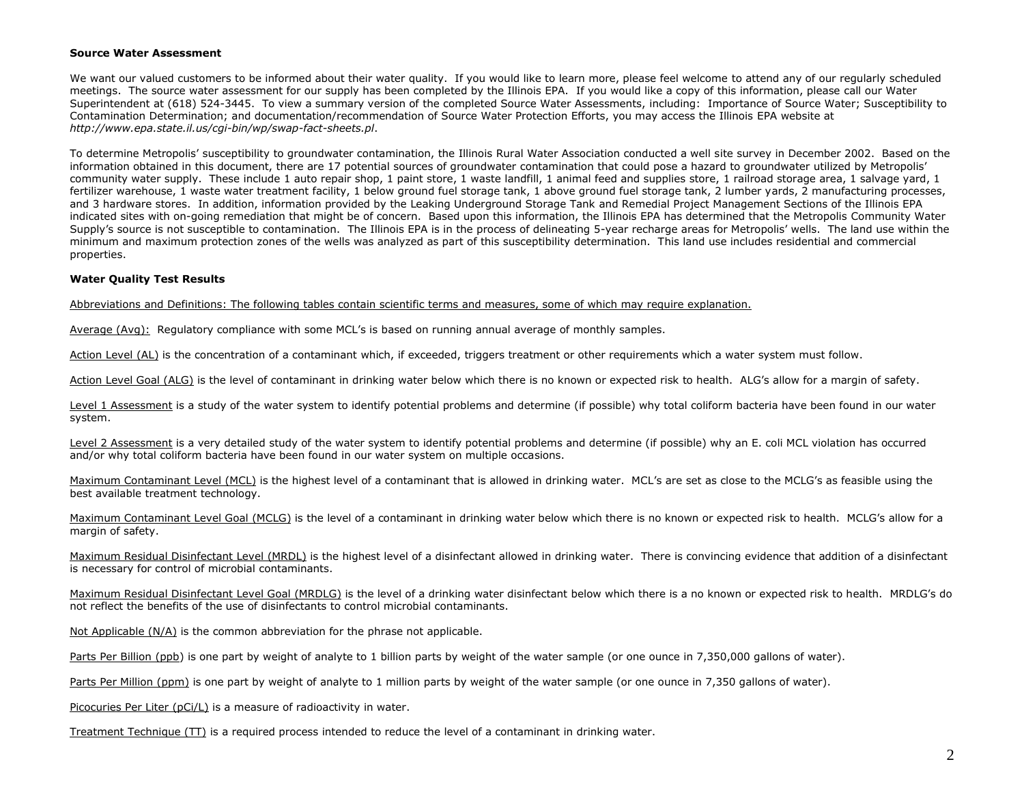#### **Source Water Assessment**

We want our valued customers to be informed about their water quality. If you would like to learn more, please feel welcome to attend any of our regularly scheduled meetings. The source water assessment for our supply has been completed by the Illinois EPA. If you would like a copy of this information, please call our Water Superintendent at (618) 524-3445. To view a summary version of the completed Source Water Assessments, including: Importance of Source Water; Susceptibility to Contamination Determination; and documentation/recommendation of Source Water Protection Efforts, you may access the Illinois EPA website at *http://www.epa.state.il.us/cgi-bin/wp/swap-fact-sheets.pl*.

To determine Metropolis' susceptibility to groundwater contamination, the Illinois Rural Water Association conducted a well site survey in December 2002. Based on the information obtained in this document, there are 17 potential sources of groundwater contamination that could pose a hazard to groundwater utilized by Metropolis' community water supply. These include 1 auto repair shop, 1 paint store, 1 waste landfill, 1 animal feed and supplies store, 1 railroad storage area, 1 salvage yard, 1 fertilizer warehouse, 1 waste water treatment facility, 1 below ground fuel storage tank, 1 above ground fuel storage tank, 2 lumber vards, 2 manufacturing processes, and 3 hardware stores. In addition, information provided by the Leaking Underground Storage Tank and Remedial Project Management Sections of the Illinois EPA indicated sites with on-going remediation that might be of concern. Based upon this information, the Illinois EPA has determined that the Metropolis Community Water Supply's source is not susceptible to contamination. The Illinois EPA is in the process of delineating 5-year recharge areas for Metropolis' wells. The land use within the minimum and maximum protection zones of the wells was analyzed as part of this susceptibility determination. This land use includes residential and commercial properties.

## **Water Quality Test Results**

Abbreviations and Definitions: The following tables contain scientific terms and measures, some of which may require explanation.

Average (Avg): Regulatory compliance with some MCL's is based on running annual average of monthly samples.

Action Level (AL) is the concentration of a contaminant which, if exceeded, triggers treatment or other requirements which a water system must follow.

Action Level Goal (ALG) is the level of contaminant in drinking water below which there is no known or expected risk to health. ALG's allow for a margin of safety.

Level 1 Assessment is a study of the water system to identify potential problems and determine (if possible) why total coliform bacteria have been found in our water system.

Level 2 Assessment is a very detailed study of the water system to identify potential problems and determine (if possible) why an E. coli MCL violation has occurred and/or why total coliform bacteria have been found in our water system on multiple occasions.

Maximum Contaminant Level (MCL) is the highest level of a contaminant that is allowed in drinking water. MCL's are set as close to the MCLG's as feasible using the best available treatment technology.

Maximum Contaminant Level Goal (MCLG) is the level of a contaminant in drinking water below which there is no known or expected risk to health. MCLG's allow for a margin of safety.

Maximum Residual Disinfectant Level (MRDL) is the highest level of a disinfectant allowed in drinking water. There is convincing evidence that addition of a disinfectant is necessary for control of microbial contaminants.

Maximum Residual Disinfectant Level Goal (MRDLG) is the level of a drinking water disinfectant below which there is a no known or expected risk to health. MRDLG's do not reflect the benefits of the use of disinfectants to control microbial contaminants.

Not Applicable (N/A) is the common abbreviation for the phrase not applicable.

Parts Per Billion (ppb) is one part by weight of analyte to 1 billion parts by weight of the water sample (or one ounce in 7,350,000 gallons of water).

Parts Per Million (ppm) is one part by weight of analyte to 1 million parts by weight of the water sample (or one ounce in 7,350 gallons of water).

Picocuries Per Liter (pCi/L) is a measure of radioactivity in water.

Treatment Technique (TT) is a required process intended to reduce the level of a contaminant in drinking water.